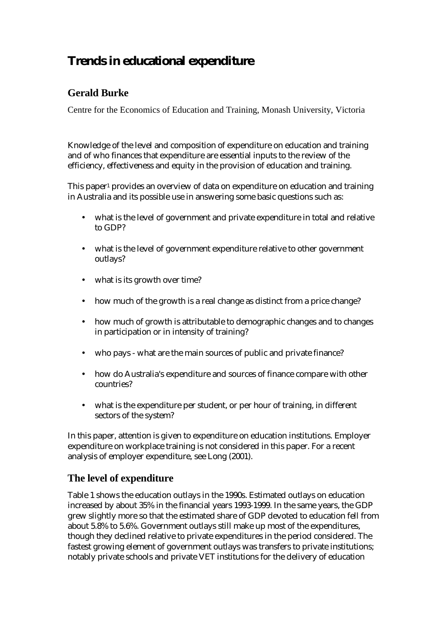# **Trends in educational expenditure**

## **Gerald Burke**

Centre for the Economics of Education and Training, Monash University, Victoria

Knowledge of the level and composition of expenditure on education and training and of who finances that expenditure are essential inputs to the review of the efficiency, effectiveness and equity in the provision of education and training.

This paper<sup>1</sup> provides an overview of data on expenditure on education and training in Australia and its possible use in answering some basic questions such as:

- what is the level of government and private expenditure in total and relative to GDP?
- what is the level of government expenditure relative to other government outlays?
- what is its growth over time?
- how much of the growth is a real change as distinct from a price change?
- how much of growth is attributable to demographic changes and to changes in participation or in intensity of training?
- who pays what are the main sources of public and private finance?
- how do Australia's expenditure and sources of finance compare with other countries?
- what is the expenditure per student, or per hour of training, in different sectors of the system?

In this paper, attention is given to expenditure on education institutions. Employer expenditure on workplace training is not considered in this paper. For a recent analysis of employer expenditure, see Long (2001).

## **The level of expenditure**

Table 1 shows the education outlays in the 1990s. Estimated outlays on education increased by about 35% in the financial years 1993-1999. In the same years, the GDP grew slightly more so that the estimated share of GDP devoted to education fell from about 5.8% to 5.6%. Government outlays still make up most of the expenditures, though they declined relative to private expenditures in the period considered. The fastest growing element of government outlays was transfers to private institutions; notably private schools and private VET institutions for the delivery of education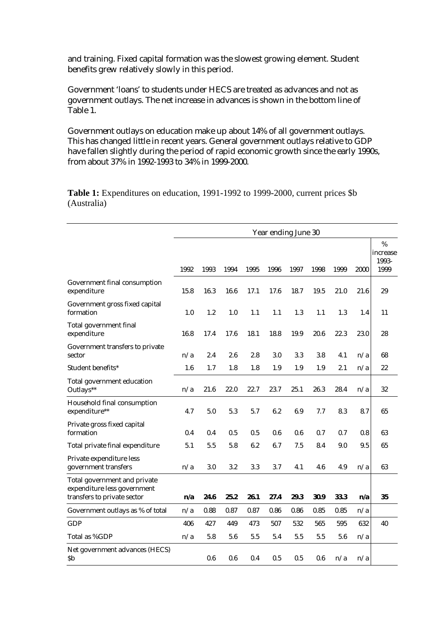and training. Fixed capital formation was the slowest growing element. Student benefits grew relatively slowly in this period.

Government 'loans' to students under HECS are treated as advances and not as government outlays. The net increase in advances is shown in the bottom line of Table 1.

Government outlays on education make up about 14% of all government outlays. This has changed little in recent years. General government outlays relative to GDP have fallen slightly during the period of rapid economic growth since the early 1990s, from about 37% in 1992-1993 to 34% in 1999-2000.

**Table 1:** Expenditures on education, 1991-1992 to 1999-2000, current prices \$b (Australia)

|                                                                                            | Year ending June 30 |      |      |      |      |      |      |      |      |                                |
|--------------------------------------------------------------------------------------------|---------------------|------|------|------|------|------|------|------|------|--------------------------------|
|                                                                                            | 1992                | 1993 | 1994 | 1995 | 1996 | 1997 | 1998 | 1999 | 2000 | %<br>increase<br>1993-<br>1999 |
| Government final consumption<br>expenditure                                                | 15.8                | 16.3 | 16.6 | 17.1 | 17.6 | 18.7 | 19.5 | 21.0 | 21.6 | 29                             |
| Government gross fixed capital<br>formation                                                | 1.0                 | 1.2  | 1.0  | 1.1  | 1.1  | 1.3  | 1.1  | 1.3  | 1.4  | 11                             |
| Total government final<br>expenditure                                                      | 16.8                | 17.4 | 17.6 | 18.1 | 18.8 | 19.9 | 20.6 | 22.3 | 23.0 | 28                             |
| Government transfers to private<br>sector                                                  | n/a                 | 2.4  | 2.6  | 2.8  | 3.0  | 3.3  | 3.8  | 4.1  | n/a  | 68                             |
| Student benefits*                                                                          | 1.6                 | 1.7  | 1.8  | 1.8  | 1.9  | 1.9  | 1.9  | 2.1  | n/a  | 22                             |
| Total government education<br>Outlays**                                                    | n/a                 | 21.6 | 22.0 | 22.7 | 23.7 | 25.1 | 26.3 | 28.4 | n/a  | 32                             |
| Household final consumption<br>expenditure**                                               | 4.7                 | 5.0  | 5.3  | 5.7  | 6.2  | 6.9  | 7.7  | 8.3  | 8.7  | 65                             |
| Private gross fixed capital<br>formation                                                   | 0.4                 | 0.4  | 0.5  | 0.5  | 0.6  | 0.6  | 0.7  | 0.7  | 0.8  | 63                             |
| Total private final expenditure                                                            | 5.1                 | 5.5  | 5.8  | 6.2  | 6.7  | 7.5  | 8.4  | 9.0  | 9.5  | 65                             |
| Private expenditure less<br>government transfers                                           | n/a                 | 3.0  | 3.2  | 3.3  | 3.7  | 4.1  | 4.6  | 4.9  | n/a  | 63                             |
| Total government and private<br>expenditure less government<br>transfers to private sector | n/a                 | 24.6 | 25.2 | 26.1 | 27.4 | 29.3 | 30.9 | 33.3 | n/a  | 35                             |
| Government outlays as % of total                                                           | n/a                 | 0.88 | 0.87 | 0.87 | 0.86 | 0.86 | 0.85 | 0.85 | n/a  |                                |
| <b>GDP</b>                                                                                 | 406                 | 427  | 449  | 473  | 507  | 532  | 565  | 595  | 632  | 40                             |
| Total as %GDP                                                                              | n/a                 | 5.8  | 5.6  | 5.5  | 5.4  | 5.5  | 5.5  | 5.6  | n/a  |                                |
| Net government advances (HECS)<br><b>Sb</b>                                                |                     | 0.6  | 0.6  | 0.4  | 0.5  | 0.5  | 0.6  | n/a  | n/a  |                                |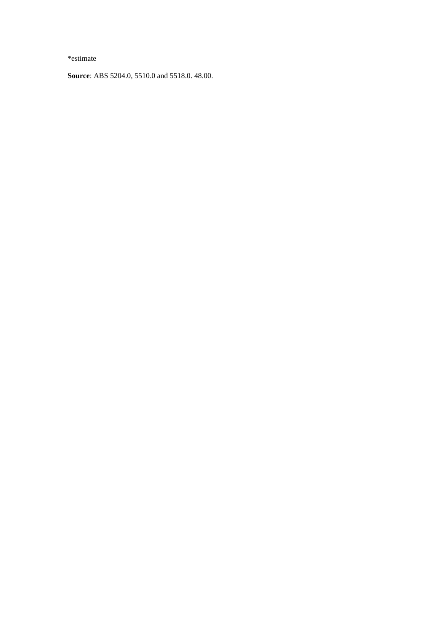\*estimate

**Source**: ABS 5204.0, 5510.0 and 5518.0. 48.00.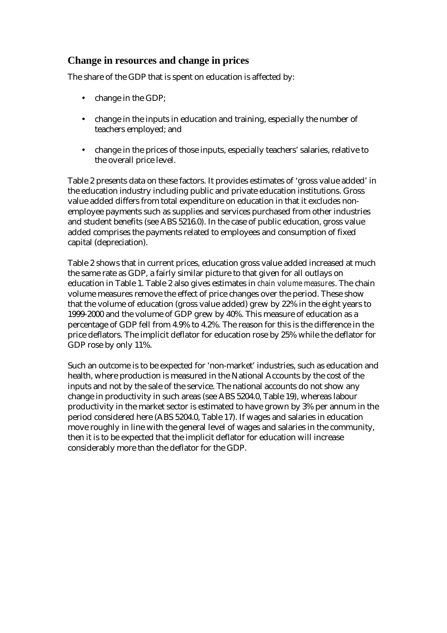### **Change in resources and change in prices**

The share of the GDP that is spent on education is affected by:

- change in the GDP;
- change in the inputs in education and training, especially the number of teachers employed; and
- change in the prices of those inputs, especially teachers' salaries, relative to the overall price level.

Table 2 presents data on these factors. It provides estimates of 'gross value added' in the education industry including public and private education institutions. Gross value added differs from total expenditure on education in that it excludes nonemployee payments such as supplies and services purchased from other industries and student benefits (see ABS 5216.0). In the case of public education, gross value added comprises the payments related to employees and consumption of fixed capital (depreciation).

Table 2 shows that in current prices, education gross value added increased at much the same rate as GDP, a fairly similar picture to that given for all outlays on education in Table 1. Table 2 also gives estimates in *chain volume measures*. The chain volume measures remove the effect of price changes over the period. These show that the volume of education (gross value added) grew by 22% in the eight years to 1999-2000 and the volume of GDP grew by 40%. This measure of education as a percentage of GDP fell from 4.9% to 4.2%. The reason for this is the difference in the price deflators. The implicit deflator for education rose by 25% while the deflator for GDP rose by only 11%.

Such an outcome is to be expected for 'non-market' industries, such as education and health, where production is measured in the National Accounts by the cost of the inputs and not by the sale of the service. The national accounts do not show any change in productivity in such areas (see ABS 5204.0, Table 19), whereas labour productivity in the market sector is estimated to have grown by 3% per annum in the period considered here (ABS 5204.0, Table 17). If wages and salaries in education move roughly in line with the general level of wages and salaries in the community, then it is to be expected that the implicit deflator for education will increase considerably more than the deflator for the GDP.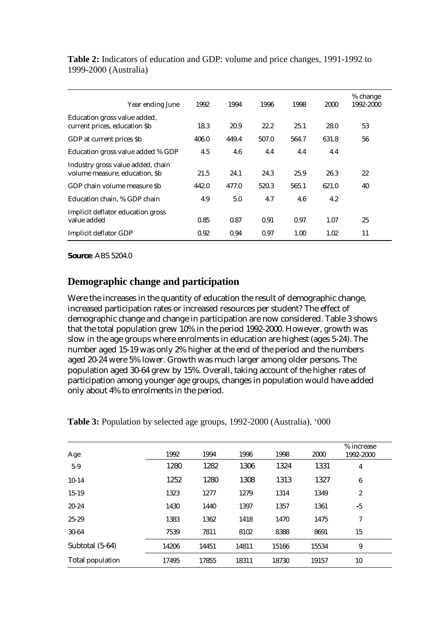| Year ending June                                                    | 1992  | 1994  | 1996  | 1998  | 2000  | % change<br>1992-2000 |
|---------------------------------------------------------------------|-------|-------|-------|-------|-------|-----------------------|
| Education gross value added,<br>current prices, education \$b       | 18.3  | 20.9  | 22.2  | 25.1  | 28.0  | 53                    |
| GDP at current prices \$b                                           | 406.0 | 449.4 | 507.0 | 564.7 | 631.8 | 56                    |
| Education gross value added % GDP                                   | 4.5   | 4.6   | 4.4   | 4.4   | 4.4   |                       |
| Industry gross value added, chain<br>volume measure, education, \$b | 21.5  | 24.1  | 24.3  | 25.9  | 26.3  | 22                    |
| GDP chain volume measure Sb                                         | 442.0 | 477.0 | 520.3 | 565.1 | 621.0 | 40                    |
| Education chain, % GDP chain                                        | 4.9   | 5.0   | 4.7   | 4.6   | 4.2   |                       |
| Implicit deflator education gross<br>value added                    | 0.85  | 0.87  | 0.91  | 0.97  | 1.07  | 25                    |
| Implicit deflator GDP                                               | 0.92  | 0.94  | 0.97  | 1.00  | 1.02  | 11                    |

**Table 2:** Indicators of education and GDP: volume and price changes, 1991-1992 to 1999-2000 (Australia)

**Source**: ABS 5204.0

#### **Demographic change and participation**

Were the increases in the quantity of education the result of demographic change, increased participation rates or increased resources per student? The effect of demographic change and change in participation are now considered. Table 3 shows that the total population grew 10% in the period 1992-2000. However, growth was slow in the age groups where enrolments in education are highest (ages 5-24). The number aged 15-19 was only 2% higher at the end of the period and the numbers aged 20-24 were 5% lower. Growth was much larger among older persons. The population aged 30-64 grew by 15%. Overall, taking account of the higher rates of participation among younger age groups, changes in population would have added only about 4% to enrolments in the period.

| Age              | 1992  | 1994  | 1996  | 1998  | 2000  | % increase<br>1992-2000 |
|------------------|-------|-------|-------|-------|-------|-------------------------|
| $5-9$            | 1280  | 1282  | 1306  | 1324  | 1331  | $\overline{4}$          |
| $10-14$          | 1252  | 1280  | 1308  | 1313  | 1327  | $\boldsymbol{6}$        |
| $15-19$          | 1323  | 1277  | 1279  | 1314  | 1349  | $\boldsymbol{2}$        |
| $20 - 24$        | 1430  | 1440  | 1397  | 1357  | 1361  | $-5$                    |
| $25 - 29$        | 1383  | 1362  | 1418  | 1470  | 1475  | 7                       |
| $30 - 64$        | 7539  | 7811  | 8102  | 8388  | 8691  | 15                      |
| Subtotal (5-64)  | 14206 | 14451 | 14811 | 15166 | 15534 | 9                       |
| Total population | 17495 | 17855 | 18311 | 18730 | 19157 | 10                      |

**Table 3:** Population by selected age groups, 1992-2000 (Australia), '000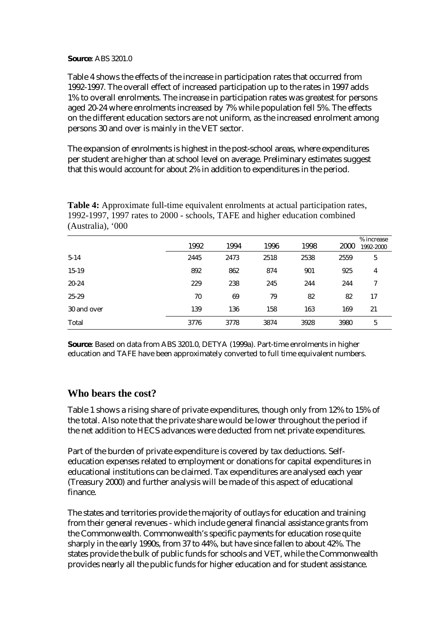#### **Source**: ABS 3201.0

Table 4 shows the effects of the increase in participation rates that occurred from 1992-1997. The overall effect of increased participation up to the rates in 1997 adds 1% to overall enrolments. The increase in participation rates was greatest for persons aged 20-24 where enrolments increased by 7% while population fell 5%. The effects on the different education sectors are not uniform, as the increased enrolment among persons 30 and over is mainly in the VET sector.

The expansion of enrolments is highest in the post-school areas, where expenditures per student are higher than at school level on average. Preliminary estimates suggest that this would account for about 2% in addition to expenditures in the period.

|             | 1992 | 1994 | 1996 | 1998 | 2000 | % increase<br>1992-2000 |
|-------------|------|------|------|------|------|-------------------------|
| $5 - 14$    | 2445 | 2473 | 2518 | 2538 | 2559 | 5                       |
| $15-19$     | 892  | 862  | 874  | 901  | 925  | $\overline{4}$          |
| $20 - 24$   | 229  | 238  | 245  | 244  | 244  | 7                       |
| $25 - 29$   | 70   | 69   | 79   | 82   | 82   | 17                      |
| 30 and over | 139  | 136  | 158  | 163  | 169  | 21                      |
| Total       | 3776 | 3778 | 3874 | 3928 | 3980 | 5                       |

**Table 4:** Approximate full-time equivalent enrolments at actual participation rates, 1992-1997, 1997 rates to 2000 - schools, TAFE and higher education combined (Australia), '000

**Source**: Based on data from ABS 3201.0, DETYA (1999a). Part-time enrolments in higher education and TAFE have been approximately converted to full time equivalent numbers.

#### **Who bears the cost?**

Table 1 shows a rising share of private expenditures, though only from 12% to 15% of the total. Also note that the private share would be lower throughout the period if the net addition to HECS advances were deducted from net private expenditures.

Part of the burden of private expenditure is covered by tax deductions. Selfeducation expenses related to employment or donations for capital expenditures in educational institutions can be claimed. Tax expenditures are analysed each year (Treasury 2000) and further analysis will be made of this aspect of educational finance.

The states and territories provide the majority of outlays for education and training from their general revenues - which include general financial assistance grants from the Commonwealth. Commonwealth's specific payments for education rose quite sharply in the early 1990s, from 37 to 44%, but have since fallen to about 42%. The states provide the bulk of public funds for schools and VET, while the Commonwealth provides nearly all the public funds for higher education and for student assistance.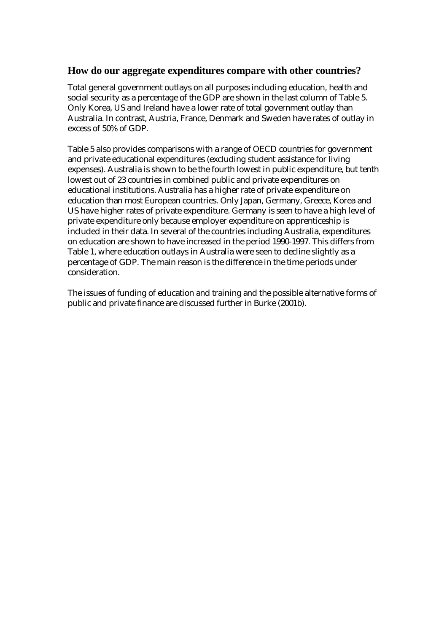### **How do our aggregate expenditures compare with other countries?**

Total general government outlays on all purposes including education, health and social security as a percentage of the GDP are shown in the last column of Table 5. Only Korea, US and Ireland have a lower rate of total government outlay than Australia. In contrast, Austria, France, Denmark and Sweden have rates of outlay in excess of 50% of GDP.

Table 5 also provides comparisons with a range of OECD countries for government and private educational expenditures (excluding student assistance for living expenses). Australia is shown to be the fourth lowest in public expenditure, but tenth lowest out of 23 countries in combined public and private expenditures on educational institutions. Australia has a higher rate of private expenditure on education than most European countries. Only Japan, Germany, Greece, Korea and US have higher rates of private expenditure. Germany is seen to have a high level of private expenditure only because employer expenditure on apprenticeship is included in their data. In several of the countries including Australia, expenditures on education are shown to have increased in the period 1990-1997. This differs from Table 1, where education outlays in Australia were seen to decline slightly as a percentage of GDP. The main reason is the difference in the time periods under consideration.

The issues of funding of education and training and the possible alternative forms of public and private finance are discussed further in Burke (2001b).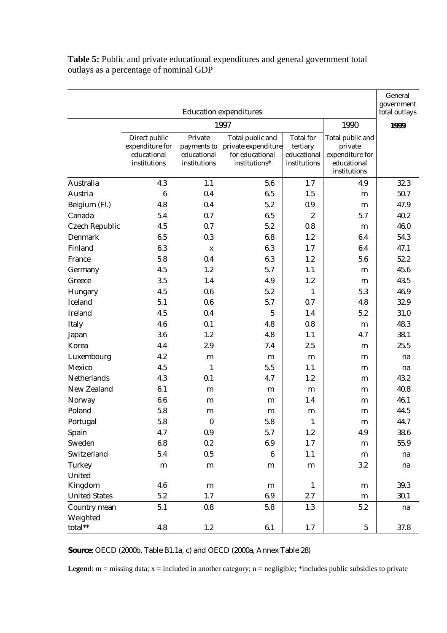| <b>Education expenditures</b> |                                                                 |                                                       |                                                                             |                                                             |                                                                               |                       |  |  |  |  |
|-------------------------------|-----------------------------------------------------------------|-------------------------------------------------------|-----------------------------------------------------------------------------|-------------------------------------------------------------|-------------------------------------------------------------------------------|-----------------------|--|--|--|--|
|                               |                                                                 |                                                       | 1997                                                                        |                                                             | 1990                                                                          | total outlays<br>1999 |  |  |  |  |
|                               | Direct public<br>expenditure for<br>educational<br>institutions | Private<br>payments to<br>educational<br>institutions | Total public and<br>private expenditure<br>for educational<br>institutions* | <b>Total</b> for<br>tertiary<br>educational<br>institutions | Total public and<br>private<br>expenditure for<br>educational<br>institutions |                       |  |  |  |  |
| Australia                     | 4.3                                                             | 1.1                                                   | 5.6                                                                         | 1.7                                                         | 4.9                                                                           | 32.3                  |  |  |  |  |
| Austria                       | $\boldsymbol{6}$                                                | 0.4                                                   | 6.5                                                                         | 1.5                                                         | m                                                                             | 50.7                  |  |  |  |  |
| Belgium (Fl.)                 | 4.8                                                             | 0.4                                                   | 5.2                                                                         | 0.9                                                         | m                                                                             | 47.9                  |  |  |  |  |
| Canada                        | 5.4                                                             | 0.7                                                   | 6.5                                                                         | $\boldsymbol{2}$                                            | 5.7                                                                           | 40.2                  |  |  |  |  |
| <b>Czech Republic</b>         | 4.5                                                             | 0.7                                                   | 5.2                                                                         | 0.8                                                         | m                                                                             | 46.0                  |  |  |  |  |
| Denmark                       | 6.5                                                             | 0.3                                                   | 6.8                                                                         | 1.2                                                         | 6.4                                                                           | 54.3                  |  |  |  |  |
| Finland                       | 6.3                                                             | $\mathbf X$                                           | 6.3                                                                         | 1.7                                                         | 6.4                                                                           | 47.1                  |  |  |  |  |
| France                        | 5.8                                                             | 0.4                                                   | 6.3                                                                         | 1.2                                                         | 5.6                                                                           | 52.2                  |  |  |  |  |
| Germany                       | 4.5                                                             | 1.2                                                   | 5.7                                                                         | 1.1                                                         | m                                                                             | 45.6                  |  |  |  |  |
| Greece                        | 3.5                                                             | 1.4                                                   | 4.9                                                                         | 1.2                                                         | m                                                                             | 43.5                  |  |  |  |  |
| Hungary                       | 4.5                                                             | 0.6                                                   | 5.2                                                                         | 1                                                           | 5.3                                                                           | 46.9                  |  |  |  |  |
| Iceland                       | 5.1                                                             | 0.6                                                   | 5.7                                                                         | 0.7                                                         | 4.8                                                                           | 32.9                  |  |  |  |  |
| Ireland                       | 4.5                                                             | 0.4                                                   | $\overline{5}$                                                              | 1.4                                                         | 5.2                                                                           | 31.0                  |  |  |  |  |
| Italy                         | 4.6                                                             | 0.1                                                   | 4.8                                                                         | 0.8                                                         | m                                                                             | 48.3                  |  |  |  |  |
| Japan                         | 3.6                                                             | 1.2                                                   | 4.8                                                                         | 1.1                                                         | 4.7                                                                           | 38.1                  |  |  |  |  |
| Korea                         | 4.4                                                             | 2.9                                                   | 7.4                                                                         | 2.5                                                         | m                                                                             | 25.5                  |  |  |  |  |
| Luxembourg                    | 4.2                                                             | m                                                     | m                                                                           | m                                                           | m                                                                             | na                    |  |  |  |  |
| Mexico                        | 4.5                                                             | $\mathbf{1}$                                          | 5.5                                                                         | 1.1                                                         | m                                                                             | na                    |  |  |  |  |
| Netherlands                   | 4.3                                                             | 0.1                                                   | 4.7                                                                         | 1.2                                                         | m                                                                             | 43.2                  |  |  |  |  |
| New Zealand                   | 6.1                                                             | m                                                     | m                                                                           | m                                                           | m                                                                             | 40.8                  |  |  |  |  |
| Norway                        | 6.6                                                             | m                                                     | m                                                                           | 1.4                                                         | m                                                                             | 46.1                  |  |  |  |  |
| Poland                        | 5.8                                                             | m                                                     | m                                                                           | m                                                           | m                                                                             | 44.5                  |  |  |  |  |
| Portugal                      | 5.8                                                             | $\boldsymbol{0}$                                      | 5.8                                                                         | $1\,$                                                       | m                                                                             | 44.7                  |  |  |  |  |
| Spain                         | 4.7                                                             | 0.9                                                   | 5.7                                                                         | $1.2\,$                                                     | 4.9                                                                           | 38.6                  |  |  |  |  |
| Sweden                        | 6.8                                                             | 0.2                                                   | 6.9                                                                         | $1.7\,$                                                     | m                                                                             | 55.9                  |  |  |  |  |
| Switzerland                   | 5.4                                                             | 0.5                                                   | $6\phantom{.}6$                                                             | 1.1                                                         | m                                                                             | na                    |  |  |  |  |
| Turkey                        | m                                                               | m                                                     | m                                                                           | m                                                           | 3.2                                                                           | na                    |  |  |  |  |
| United                        |                                                                 |                                                       |                                                                             |                                                             |                                                                               |                       |  |  |  |  |
| Kingdom                       | 4.6                                                             | ${\bf m}$                                             | m                                                                           | $\mathbf{1}$                                                | m                                                                             | 39.3                  |  |  |  |  |
| <b>United States</b>          | 5.2                                                             | 1.7                                                   | 6.9                                                                         | 2.7                                                         | ${\bf m}$                                                                     | 30.1                  |  |  |  |  |
| Country mean                  | 5.1                                                             | 0.8                                                   | 5.8                                                                         | 1.3                                                         | 5.2                                                                           | na                    |  |  |  |  |
| Weighted<br>total $**$        | 4.8                                                             | $1.2\,$                                               | 6.1                                                                         | 1.7                                                         | $5\,$                                                                         | 37.8                  |  |  |  |  |

Table 5: Public and private educational expenditures and general government total outlays as a percentage of nominal GDP

**Source**: OECD (2000b, Table B1.1a, c) and OECD (2000a, Annex Table 28)

Legend: m = missing data; x = included in another category; n = negligible; \*includes public subsidies to private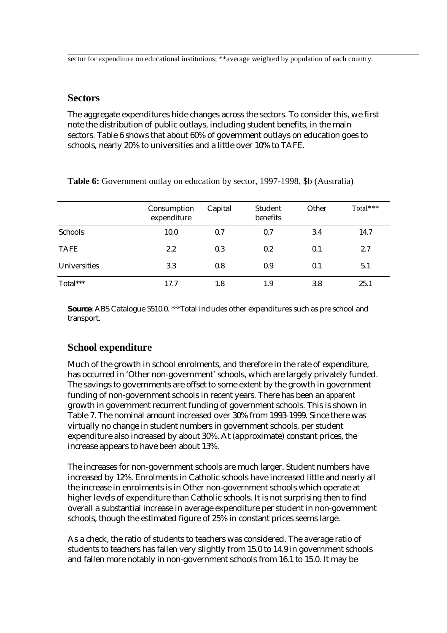sector for expenditure on educational institutions; \*\*average weighted by population of each country.

#### **Sectors**

The aggregate expenditures hide changes across the sectors. To consider this, we first note the distribution of public outlays, including student benefits, in the main sectors. Table 6 shows that about 60% of government outlays on education goes to schools, nearly 20% to universities and a little over 10% to TAFE.

|                     | Consumption<br>expenditure | Capital | Student<br>benefits | Other | Total*** |
|---------------------|----------------------------|---------|---------------------|-------|----------|
| Schools             | 10.0                       | 0.7     | 0.7                 | 3.4   | 14.7     |
| <b>TAFE</b>         | 2.2                        | 0.3     | 0.2                 | 0.1   | 2.7      |
| <b>Universities</b> | 3.3                        | 0.8     | 0.9                 | 0.1   | 5.1      |
| Total***            | 17.7                       | 1.8     | 1.9                 | 3.8   | 25.1     |

**Table 6:** Government outlay on education by sector, 1997-1998, \$b (Australia)

**Source**: ABS Catalogue 5510.0. \*\*\*Total includes other expenditures such as pre school and transport.

### **School expenditure**

Much of the growth in school enrolments, and therefore in the rate of expenditure, has occurred in 'Other non-government' schools, which are largely privately funded. The savings to governments are offset to some extent by the growth in government funding of non-government schools in recent years. There has been an *apparent* growth in government recurrent funding of government schools. This is shown in Table 7. The nominal amount increased over 30% from 1993-1999. Since there was virtually no change in student numbers in government schools, per student expenditure also increased by about 30%. At (approximate) constant prices, the increase appears to have been about 13%.

The increases for non-government schools are much larger. Student numbers have increased by 12%. Enrolments in Catholic schools have increased little and nearly all the increase in enrolments is in Other non-government schools which operate at higher levels of expenditure than Catholic schools. It is not surprising then to find overall a substantial increase in average expenditure per student in non-government schools, though the estimated figure of 25% in constant prices seems large.

As a check, the ratio of students to teachers was considered. The average ratio of students to teachers has fallen very slightly from 15.0 to 14.9 in government schools and fallen more notably in non-government schools from 16.1 to 15.0. It may be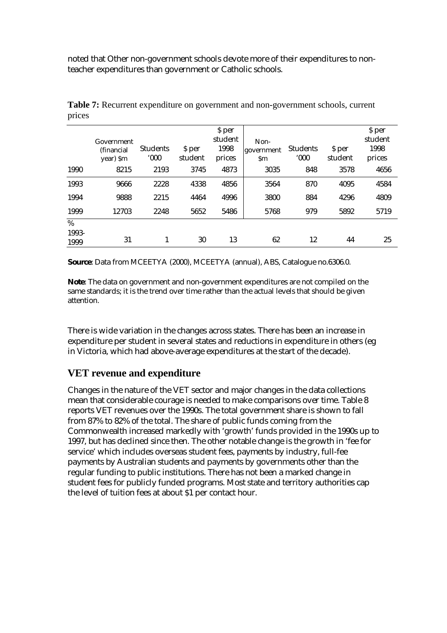noted that Other non-government schools devote more of their expenditures to nonteacher expenditures than government or Catholic schools.

|                       | Government<br>(financial<br>year) \$m | <b>Students</b><br>$000^{\circ}$ | \$ per<br>student | \$ per<br>student<br>1998<br>prices | Non-<br>government<br>\$m | <b>Students</b><br>$000^{\circ}$ | \$ per<br>student | \$ per<br>student<br>1998<br>prices |
|-----------------------|---------------------------------------|----------------------------------|-------------------|-------------------------------------|---------------------------|----------------------------------|-------------------|-------------------------------------|
| 1990                  | 8215                                  | 2193                             | 3745              | 4873                                | 3035                      | 848                              | 3578              | 4656                                |
| 1993                  | 9666                                  | 2228                             | 4338              | 4856                                | 3564                      | 870                              | 4095              | 4584                                |
| 1994                  | 9888                                  | 2215                             | 4464              | 4996                                | 3800                      | 884                              | 4296              | 4809                                |
| 1999                  | 12703                                 | 2248                             | 5652              | 5486                                | 5768                      | 979                              | 5892              | 5719                                |
| $\%$<br>1993-<br>1999 | 31                                    |                                  | 30                | 13                                  | 62                        | 12                               | 44                | 25                                  |

**Table 7:** Recurrent expenditure on government and non-government schools, current prices

**Source**: Data from MCEETYA (2000), MCEETYA (annual), ABS, Catalogue no.6306.0.

**Note**: The data on government and non-government expenditures are not compiled on the same standards; it is the trend over time rather than the actual levels that should be given attention.

There is wide variation in the changes across states. There has been an increase in expenditure per student in several states and reductions in expenditure in others (eg in Victoria, which had above-average expenditures at the start of the decade).

## **VET revenue and expenditure**

Changes in the nature of the VET sector and major changes in the data collections mean that considerable courage is needed to make comparisons over time. Table 8 reports VET revenues over the 1990s. The total government share is shown to fall from 87% to 82% of the total. The share of public funds coming from the Commonwealth increased markedly with 'growth' funds provided in the 1990s up to 1997, but has declined since then. The other notable change is the growth in 'fee for service' which includes overseas student fees, payments by industry, full-fee payments by Australian students and payments by governments other than the regular funding to public institutions. There has not been a marked change in student fees for publicly funded programs. Most state and territory authorities cap the level of tuition fees at about \$1 per contact hour.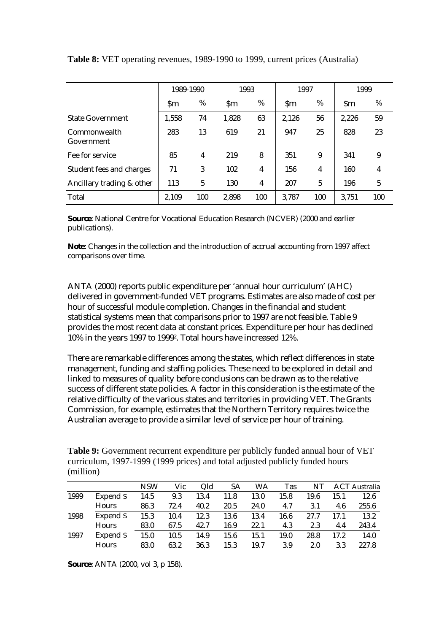|                            | 1989-1990     |     | 1993  |     | 1997          |     | 1999      |                |
|----------------------------|---------------|-----|-------|-----|---------------|-----|-----------|----------------|
|                            | $\mathsf{Sm}$ | %   |       | %   | $\mathbf{Sm}$ | %   | <b>Sm</b> | %              |
| <b>State Government</b>    | 1,558         | 74  | 1,828 | 63  | 2,126         | 56  | 2,226     | 59             |
| Commonwealth<br>Government | 283           | 13  | 619   | 21  | 947           | 25  | 828       | 23             |
| Fee for service            | 85            | 4   | 219   | 8   | 351           | 9   | 341       | 9              |
| Student fees and charges   | 71            | 3   | 102   | 4   | 156           | 4   | 160       | $\overline{4}$ |
| Ancillary trading & other  | 113           | 5   | 130   | 4   | 207           | 5   | 196       | 5              |
| Total                      | 2,109         | 100 | 2,898 | 100 | 3.787         | 100 | 3.751     | 100            |

**Table 8:** VET operating revenues, 1989-1990 to 1999, current prices (Australia)

**Source**: National Centre for Vocational Education Research (NCVER) (2000 and earlier publications).

**Note**: Changes in the collection and the introduction of accrual accounting from 1997 affect comparisons over time.

ANTA (2000) reports public expenditure per 'annual hour curriculum' (AHC) delivered in government-funded VET programs. Estimates are also made of cost per hour of successful module completion. Changes in the financial and student statistical systems mean that comparisons prior to 1997 are not feasible. Table 9 provides the most recent data at constant prices. Expenditure per hour has declined 10% in the years 1997 to 19992. Total hours have increased 12%.

There are remarkable differences among the states, which reflect differences in state management, funding and staffing policies. These need to be explored in detail and linked to measures of quality before conclusions can be drawn as to the relative success of different state policies. A factor in this consideration is the estimate of the relative difficulty of the various states and territories in providing VET. The Grants Commission, for example, estimates that the Northern Territory requires twice the Australian average to provide a similar level of service per hour of training.

| <b>Table 9:</b> Government recurrent expenditure per publicly funded annual hour of VET |  |
|-----------------------------------------------------------------------------------------|--|
| curriculum, 1997-1999 (1999 prices) and total adjusted publicly funded hours            |  |
| (million)                                                                               |  |

|      |              | <b>NSW</b> | Vic  | Old  | SА   | WA   | <b>Tas</b> | NT   |      | <b>ACT</b> Australia |
|------|--------------|------------|------|------|------|------|------------|------|------|----------------------|
| 1999 | Expend \$    | 14.5       | 9.3  | 13.4 | 11.8 | 13.0 | 15.8       | 19.6 | 15.1 | 12.6                 |
|      | <b>Hours</b> | 86.3       | 72.4 | 40.2 | 20.5 | 24.0 | 4.7        | 3.1  | 4.6  | 255.6                |
| 1998 | Expend \$    | 15.3       | 10.4 | 12.3 | 13.6 | 13.4 | 16.6       | 27.7 | 17.1 | 13.2                 |
|      | <b>Hours</b> | 83.0       | 67.5 | 42.7 | 16.9 | 22.1 | 4.3        | 2.3  | 4.4  | 243.4                |
| 1997 | Expend \$    | 15.0       | 10.5 | 14.9 | 15.6 | 15.1 | 19.0       | 28.8 | 17.2 | 14.0                 |
|      | <b>Hours</b> | 83.0       | 63.2 | 36.3 | 15.3 | 19.7 | 3.9        | 2.0  | 3.3  | 227.8                |

**Source**: ANTA (2000, vol 3, p 158).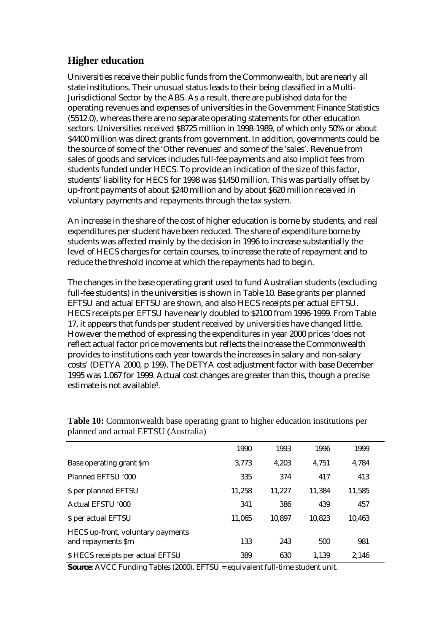## **Higher education**

Universities receive their public funds from the Commonwealth, but are nearly all state institutions. Their unusual status leads to their being classified in a Multi-Jurisdictional Sector by the ABS. As a result, there are published data for the operating revenues and expenses of universities in the Government Finance Statistics (5512.0), whereas there are no separate operating statements for other education sectors. Universities received \$8725 million in 1998-1989, of which only 50% or about \$4400 million was direct grants from government. In addition, governments could be the source of some of the 'Other revenues' and some of the 'sales'. Revenue from sales of goods and services includes full-fee payments and also implicit fees from students funded under HECS. To provide an indication of the size of this factor, students' liability for HECS for 1998 was \$1450 million. This was partially offset by up-front payments of about \$240 million and by about \$620 million received in voluntary payments and repayments through the tax system.

An increase in the share of the cost of higher education is borne by students, and real expenditures per student have been reduced. The share of expenditure borne by students was affected mainly by the decision in 1996 to increase substantially the level of HECS charges for certain courses, to increase the rate of repayment and to reduce the threshold income at which the repayments had to begin.

The changes in the base operating grant used to fund Australian students (excluding full-fee students) in the universities is shown in Table 10. Base grants per planned EFTSU and actual EFTSU are shown, and also HECS receipts per actual EFTSU. HECS receipts per EFTSU have nearly doubled to \$2100 from 1996-1999. From Table 17, it appears that funds per student received by universities have changed little. However the method of expressing the expenditures in year 2000 prices 'does not reflect actual factor price movements but reflects the increase the Commonwealth provides to institutions each year towards the increases in salary and non-salary costs' (DETYA 2000, p 199). The DETYA cost adjustment factor with base December 1995 was 1.067 for 1999. Actual cost changes are greater than this, though a precise estimate is not available3.

|                                                         | 1990   | 1993   | 1996   | 1999   |  |
|---------------------------------------------------------|--------|--------|--------|--------|--|
| Base operating grant \$m                                | 3,773  | 4,203  | 4.751  | 4,784  |  |
| Planned EFTSU '000                                      | 335    | 374    | 417    | 413    |  |
| \$ per planned EFTSU                                    | 11,258 | 11.227 | 11.384 | 11,585 |  |
| Actual EFSTU '000                                       | 341    | 386    | 439    | 457    |  |
| \$ per actual EFTSU                                     | 11.065 | 10.897 | 10.823 | 10.463 |  |
| HECS up-front, voluntary payments<br>and repayments \$m | 133    | 243    | 500    | 981    |  |
| \$ HECS receipts per actual EFTSU                       | 389    | 630    | 1.139  | 2.146  |  |

**Table 10:** Commonwealth base operating grant to higher education institutions per planned and actual EFTSU (Australia)

**Source**: AVCC Funding Tables (2000). EFTSU = equivalent full-time student unit.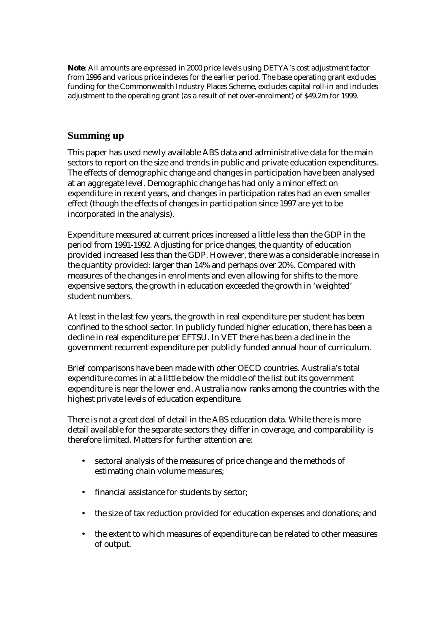**Note**: All amounts are expressed in 2000 price levels using DETYA's cost adjustment factor from 1996 and various price indexes for the earlier period. The base operating grant excludes funding for the Commonwealth Industry Places Scheme, excludes capital roll-in and includes adjustment to the operating grant (as a result of net over-enrolment) of \$49.2m for 1999.

#### **Summing up**

This paper has used newly available ABS data and administrative data for the main sectors to report on the size and trends in public and private education expenditures. The effects of demographic change and changes in participation have been analysed at an aggregate level. Demographic change has had only a minor effect on expenditure in recent years, and changes in participation rates had an even smaller effect (though the effects of changes in participation since 1997 are yet to be incorporated in the analysis).

Expenditure measured at current prices increased a little less than the GDP in the period from 1991-1992. Adjusting for price changes, the quantity of education provided increased less than the GDP. However, there was a considerable increase in the quantity provided: larger than 14% and perhaps over 20%. Compared with measures of the changes in enrolments and even allowing for shifts to the more expensive sectors, the growth in education exceeded the growth in 'weighted' student numbers.

At least in the last few years, the growth in real expenditure per student has been confined to the school sector. In publicly funded higher education, there has been a decline in real expenditure per EFTSU. In VET there has been a decline in the government recurrent expenditure per publicly funded annual hour of curriculum.

Brief comparisons have been made with other OECD countries. Australia's total expenditure comes in at a little below the middle of the list but its government expenditure is near the lower end. Australia now ranks among the countries with the highest private levels of education expenditure.

There is not a great deal of detail in the ABS education data. While there is more detail available for the separate sectors they differ in coverage, and comparability is therefore limited. Matters for further attention are:

- sectoral analysis of the measures of price change and the methods of estimating chain volume measures;
- financial assistance for students by sector;
- the size of tax reduction provided for education expenses and donations; and
- the extent to which measures of expenditure can be related to other measures of output.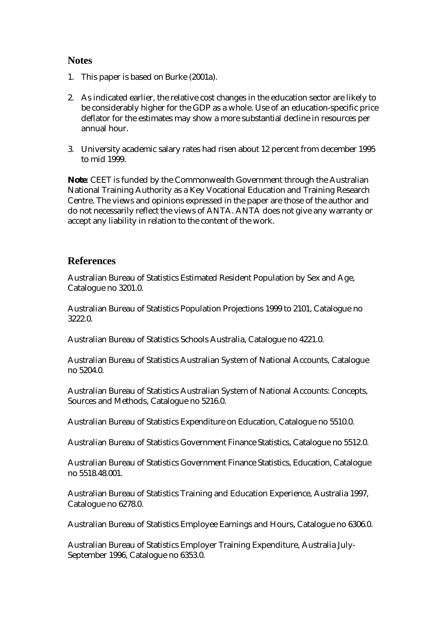#### **Notes**

- 1. This paper is based on Burke (2001a).
- 2. As indicated earlier, the relative cost changes in the education sector are likely to be considerably higher for the GDP as a whole. Use of an education-specific price deflator for the estimates may show a more substantial decline in resources per annual hour.
- 3. University academic salary rates had risen about 12 percent from december 1995 to mid 1999.

**Note**: CEET is funded by the Commonwealth Government through the Australian National Training Authority as a Key Vocational Education and Training Research Centre. The views and opinions expressed in the paper are those of the author and do not necessarily reflect the views of ANTA. ANTA does not give any warranty or accept any liability in relation to the content of the work.

### **References**

Australian Bureau of Statistics Estimated Resident Population by Sex and Age, Catalogue no 3201.0.

Australian Bureau of Statistics Population Projections 1999 to 2101, Catalogue no 3222.0.

Australian Bureau of Statistics Schools Australia, Catalogue no 4221.0.

Australian Bureau of Statistics Australian System of National Accounts, Catalogue no 5204.0.

Australian Bureau of Statistics Australian System of National Accounts: Concepts, Sources and Methods, Catalogue no 5216.0.

Australian Bureau of Statistics Expenditure on Education, Catalogue no 5510.0.

Australian Bureau of Statistics Government Finance Statistics, Catalogue no 5512.0.

Australian Bureau of Statistics Government Finance Statistics, Education, Catalogue no 5518.48.001.

Australian Bureau of Statistics Training and Education Experience, Australia 1997, Catalogue no 6278.0.

Australian Bureau of Statistics Employee Earnings and Hours, Catalogue no 6306.0.

Australian Bureau of Statistics Employer Training Expenditure, Australia July-September 1996, Catalogue no 6353.0.